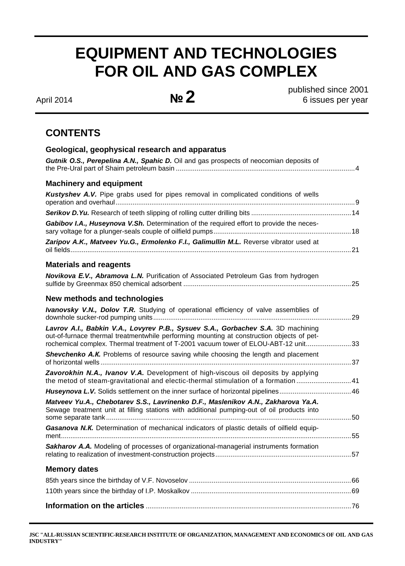# **EQUIPMENT AND TECHNOLOGIES FOR OIL AND GAS COMPLEX**

April 2014 **№ 2** 

published since 2001 6 issues per year

## **CONTENTS**

| Geological, geophysical research and apparatus                                                                                                                                                                                                                      |  |
|---------------------------------------------------------------------------------------------------------------------------------------------------------------------------------------------------------------------------------------------------------------------|--|
| Gutnik O.S., Perepelina A.N., Spahic D. Oil and gas prospects of neocomian deposits of                                                                                                                                                                              |  |
| <b>Machinery and equipment</b>                                                                                                                                                                                                                                      |  |
| Kustyshev A.V. Pipe grabs used for pipes removal in complicated conditions of wells                                                                                                                                                                                 |  |
|                                                                                                                                                                                                                                                                     |  |
| Gabibov I.A., Huseynova V.Sh. Determination of the required effort to provide the neces-                                                                                                                                                                            |  |
| Zaripov A.K., Matveev Yu.G., Ermolenko F.I., Galimullin M.L. Reverse vibrator used at                                                                                                                                                                               |  |
| <b>Materials and reagents</b>                                                                                                                                                                                                                                       |  |
| Novikova E.V., Abramova L.N. Purification of Associated Petroleum Gas from hydrogen                                                                                                                                                                                 |  |
| New methods and technologies                                                                                                                                                                                                                                        |  |
| Ivanovsky V.N., Dolov T.R. Studying of operational efficiency of valve assemblies of                                                                                                                                                                                |  |
| Lavrov A.I., Babkin V.A., Lovyrev P.B., Sysuev S.A., Gorbachev S.A. 3D machining<br>out-of-furnace thermal treatmentwhile performing mounting at construction objects of pet-<br>rochemical complex. Thermal treatment of T-2001 vacuum tower of ELOU-ABT-12 unit33 |  |
| Shevchenko A.K. Problems of resource saving while choosing the length and placement                                                                                                                                                                                 |  |
| Zavorokhin N.A., Ivanov V.A. Development of high-viscous oil deposits by applying<br>the metod of steam-gravitational and electic-thermal stimulation of a formation 41                                                                                             |  |
|                                                                                                                                                                                                                                                                     |  |
| Matveev Yu.A., Chebotarev S.S., Lavrinenko D.F., Maslenikov A.N., Zakharova Ya.A.<br>Sewage treatment unit at filling stations with additional pumping-out of oil products into                                                                                     |  |
| Gasanova N.K. Determination of mechanical indicators of plastic details of oilfield equip-                                                                                                                                                                          |  |
| Sakharov A.A. Modeling of processes of organizational-managerial instruments formation                                                                                                                                                                              |  |
| <b>Memory dates</b>                                                                                                                                                                                                                                                 |  |
|                                                                                                                                                                                                                                                                     |  |
|                                                                                                                                                                                                                                                                     |  |
|                                                                                                                                                                                                                                                                     |  |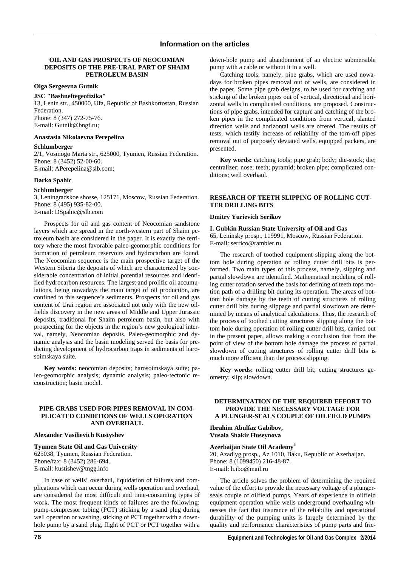#### **OIL AND GAS PROSPECTS OF NEOCOMIAN DEPOSITS OF THE PRE-URAL PART OF SHAIM PETROLEUM BASIN**

#### **Olga Sergeevna Gutnik**

#### **JSC "Bashneftegeofizika"**

13, Lenin str., 450000, Ufa, Republic of Bashkortostan, Russian **Federation** Phone: 8 (347) 272-75-76. E-mail: Gutnik@bngf.ru;

#### **Anastasia Nikolaevna Perepelina**

#### **Schlumberger**

2/1, Vosmogo Marta str., 625000, Tyumen, Russian Federation. Phone: 8 (3452) 52-00-60. E-mail: APerepelina@slb.com;

#### **Darko Spahic**

#### **Schlumberger**

3, Leningradskoe shosse, 125171, Moscow, Russian Federation. Phone: 8 (495) 935-82-00. E-mail: DSpahic@slb.com

Prospects for oil and gas content of Neocomian sandstone layers which are spread in the north-western part of Shaim petroleum basin are considered in the paper. It is exactly the territory where the most favorable paleo-geomorphic conditions for formation of petroleum reservoirs and hydrocarbon are found. The Neocomian sequence is the main prospective target of the Western Siberia the deposits of which are characterized by considerable concentration of initial potential resources and identified hydrocarbon resources. The largest and prolific oil accumulations, being nowadays the main target of oil production, are confined to this sequence's sediments. Prospects for oil and gas content of Urai region are associated not only with the new oilfields discovery in the new areas of Middle and Upper Jurassic deposits, traditional for Shaim petroleum basin, but also with prospecting for the objects in the region's new geological interval, namely, Neocomian deposits. Paleo-geomorphic and dynamic analysis and the basin modeling served the basis for predicting development of hydrocarbon traps in sediments of harosoimskaya suite.

**Key words:** neocomian deposits; harosoimskaya suite; paleo-geomorphic analysis; dynamic analysis; paleo-tectonic reconstruction; basin model.

#### **PIPE GRABS USED FOR PIPES REMOVAL IN COM-PLICATED CONDITIONS OF WELLS OPERATION AND OVERHAUL**

#### **Alexander Vasilievich Kustyshev**

**Tyumen State Oil and Gas University**  625038, Tyumen, Russian Federation. Phone/fax: 8 (3452) 286-694. E-mail: kustishev@tngg.info

In case of wells' overhaul, liquidation of failures and complications which can occur during wells operation and overhaul, are considered the most difficult and time-consuming types of work. The most frequent kinds of failures are the following: pump-compressor tubing (PCT) sticking by a sand plug during well operation or washing, sticking of PCT together with a downhole pump by a sand plug, flight of PCT or PCT together with a

down-hole pump and abandonment of an electric submersible pump with a cable or without it in a well.

Catching tools, namely, pipe grabs, which are used nowadays for broken pipes removal out of wells, are considered in the paper. Some pipe grab designs, to be used for catching and sticking of the broken pipes out of vertical, directional and horizontal wells in complicated conditions, are proposed. Constructions of pipe grabs, intended for capture and catching of the broken pipes in the complicated conditions from vertical, slanted direction wells and horizontal wells are offered. The results of tests, which testify increase of reliability of the torn-off pipes removal out of purposely deviated wells, equipped packers, are presented.

**Key words:** catching tools; pipe grab; body; die-stock; die; centralizer; nose; teeth; pyramid; broken pipe; complicated conditions; well overhaul.

#### **RESEARCH OF TEETH SLIPPING OF ROLLING CUT-TER DRILLING BITS**

#### **Dmitry Yurievich Serikov**

### **I. Gubkin Russian State University of Oil and Gas**

65, Leninsky prosp., 119991, Moscow, Russian Federation. E-mail: serrico@rambler.ru.

The research of toothed equipment slipping along the bottom hole during operation of rolling cutter drill bits is performed. Two main types of this process, namely, slipping and partial slowdown are identified. Mathematical modeling of rolling cutter rotation served the basis for defining of teeth tops motion path of a drilling bit during its operation. The areas of bottom hole damage by the teeth of cutting structures of rolling cutter drill bits during slippage and partial slowdown are determined by means of analytical calculations. Thus, the research of the process of toothed cutting structures slipping along the bottom hole during operation of rolling cutter drill bits, carried out in the present paper, allows making a conclusion that from the point of view of the bottom hole damage the process of partial slowdown of cutting structures of rolling cutter drill bits is much more efficient than the process slipping.

**Key words:** rolling cutter drill bit; cutting structures geometry; slip; slowdown.

#### **DETERMINATION OF THE REQUIRED EFFORT TO PROVIDE THE NECESSARY VOLTAGE FOR A PLUNGER-SEALS COUPLE OF OILFIELD PUMPS**

**Ibrahim Abulfaz Gabibov, Vusala Shakir Huseynova** 

#### **Azerbaijan State Oil Academy<sup>2</sup>**

20, Azadlyg prosp., Az 1010, Baku, Republic of Azerbaijan. Phone: 8 (1099450) 216-48-87. E-mail: h.ibo@mail.ru

The article solves the problem of determining the required value of the effort to provide the necessary voltage of a plungerseals couple of oilfield pumps. Years of experience in oilfield equipment operation while wells underground overhauling witnesses the fact that insurance of the reliability and operational durability of the pumping units is largely determined by the quality and performance characteristics of pump parts and fric-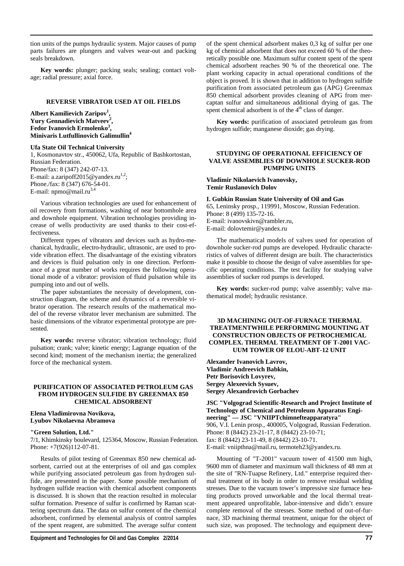tion units of the pumps hydraulic system. Major causes of pump parts failures are plungers and valves wear-out and packing seals breakdown.

**Key words:** plunger; packing seals; sealing; contact voltage; radial pressure; axial force.

#### **REVERSE VIBRATOR USED AT OIL FIELDS**

**Albert Kamilievich Zaripov1 , Yury Gennadievich Matveev<sup>2</sup> , Fedor Ivanovich Ermolenko3 , Minivaris Lutfullinovich Galimullin4**

#### **Ufa State Oil Technical University**

1, Kosmonavtov str., 450062, Ufa, Republic of Bashkortostan, Russian Federation. Phone/fax: 8 (347) 242-07-13. E-mail: a.zaripoff2015@yandex.ru<sup>1,2</sup>; Phone./fax: 8 (347) 676-54-01. E-mail: npmo@mail.ru<sup>3,4</sup>

Various vibration technologies are used for enhancement of oil recovery from formations, washing of near bottomhole area and downhole equipment. Vibration technologies providing increase of wells productivity are used thanks to their cost-effectiveness.

Different types of vibrators and devices such as hydro-mechanical, hydraulic, electro-hydraulic, ultrasonic, are used to provide vibration effect. The disadvantage of the existing vibrators and devices is fluid pulsation only in one direction. Performance of a great number of works requires the following operational mode of a vibrator: provision of fluid pulsation while its pumping into and out of wells.

The paper substantiates the necessity of development, construction diagram, the scheme and dynamics of a reversible vibrator operation. The research results of the mathematical model of the reverse vibrator lever mechanism are submitted. The basic dimensions of the vibrator experimental prototype are presented.

Key words: reverse vibrator; vibration technology; fluid pulsation; crank; valve; kinetic energy; Lagrange equation of the second kind; moment of the mechanism inertia; the generalized force of the mechanical system.

#### **PURIFICATION OF ASSOCIATED PETROLEUM GAS FROM HYDROGEN SULFIDE BY GREENMAX 850 CHEMICAL ADSORBENT**

#### **Elena Vladimirovna Novikova, Lyubov Nikolaevna Abramova**

#### **"Green Solution, Ltd."**

7/1, Khimkinsky boulevard, 125364, Moscow, Russian Federation. Phone: +7(926)112-07-81.

Results of pilot testing of Greenmax 850 new chemical adsorbent, carried out at the enterprises of oil and gas complex while purifying associated petroleum gas from hydrogen sulfide, are presented in the paper. Some possible mechanism of hydrogen sulfide reaction with chemical adsorbent components is discussed. It is shown that the reaction resulted in molecular sulfur formation. Presence of sulfur is confirmed by Raman scattering spectrum data. The data on sulfur content of the chemical adsorbent, confirmed by elemental analysis of control samples of the spent reagent, are submitted. The average sulfur content of the spent chemical adsorbent makes 0,3 kg of sulfur per one kg of chemical adsorbent that does not exceed 60 % of the theoretically possible one. Maximum sulfur content spent of the spent chemical adsorbent reaches 90 % of the theoretical one. The plant working capacity in actual operational conditions of the object is proved. It is shown that in addition to hydrogen sulfide purification from associated petroleum gas (APG) Greenmax 850 chemical adsorbent provides cleaning of APG from mercaptan sulfur and simultaneous additional drying of gas. The spent chemical adsorbent is of the 4<sup>th</sup> class of danger.

**Key words:** purification of associated petroleum gas from hydrogen sulfide; manganese dioxide; gas drying.

#### **STUDYING OF OPERATIONAL EFFICIENCY OF VALVE ASSEMBLIES OF DOWNHOLE SUCKER-ROD PUMPING UNITS**

**Vladimir Nikolaevich Ivanovsky, Temir Ruslanovich Dolov** 

**I. Gubkin Russian State University of Oil and Gas** 

65, Leninsky prosp., 119991, Moscow, Russian Federation. Phone: 8 (499) 135-72-16. E-mail: ivanovskivn@rambler.ru, E-mail: dolovtemir@yandex.ru

The mathematical models of valves used for operation of downhole sucker-rod pumps are developed. Hydraulic characteristics of valves of different design are built. The characteristics make it possible to choose the design of valve assemblies for specific operating conditions. The test facility for studying valve assemblies of sucker rod pumps is developed.

**Key words:** sucker-rod pump; valve assembly; valve mathematical model; hydraulic resistance.

#### **3D MACHINING OUT-OF-FURNACE THERMAL TREATMENTWHILE PERFORMING MOUNTING AT CONSTRUCTION OBJECTS OF PETROCHEMICAL COMPLEX. THERMAL TREATMENT OF Т-2001 VAC-UUM TOWER OF ELOU-ABT-12 UNIT**

**Alexander Ivanovich Lavrov, Vladimir Andreevich Babkin, Petr Borisovich Lovyrev, Sergey Alexeevich Sysuev, Sergey Alexandrovich Gorbachev** 

**JSC "Volgograd Scientific-Research and Project Institute of Technology of Chemical and Petroleum Apparatus Engineering" — JSC "VNIIPTchimnefteapparatyra"**  906, V.I. Lenin prosp., 400005, Volgograd, Russian Federation. Phone: 8 (8442) 23-21-17, 8 (8442) 23-10-71; fax: 8 (8442) 23-11-49, 8 (8442) 23-10-71. E-mail: vniipthna@mail.ru, termoteh23@yandex.ru.

Mounting of "T-2001" vacuum tower of 41500 mm high, 9600 mm of diameter and maximum wall thickness of 48 mm at the site of "RN-Tuapse Refinery, Ltd." enterprise required thermal treatment of its body in order to remove residual welding stresses. Due to the vacuum tower's impressive size furnace heating products proved unworkable and the local thermal treatment appeared unprofitable, labor-intensive and didn't ensure complete removal of the stresses. Some method of out-of-furnace, 3D machining thermal treatment, unique for the object of such size, was proposed. The technology and equipment deve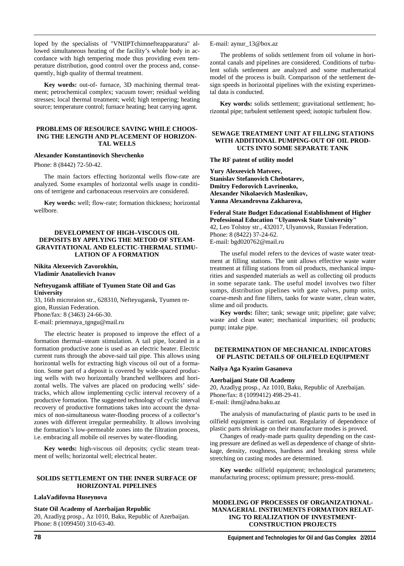loped by the specialists of "VNIIPTchimnefteapparatura" allowed simultaneous heating of the facility's whole body in accordance with high tempering mode thus providing even temperature distribution, good control over the process and, consequently, high quality of thermal treatment.

**Key words:** out-of- furnace, 3D machining thermal treatment; petrochemical complex; vacuum tower; residual welding stresses; local thermal treatment; weld; high tempering; heating source; temperature control; furnace heating; heat carrying agent.

#### **PROBLEMS OF RESOURCE SAVING WHILE CHOOS-ING THE LENGTH AND PLACEMENT OF HORIZON-TAL WELLS**

#### **Alexander Konstantinovich Shevchenko**

Phone: 8 (8442) 72-50-42.

The main factors effecting horizontal wells flow-rate are analyzed. Some examples of horizontal wells usage in conditions of terrigene and carbonaceous reservoirs are considered.

**Key words:** well; flow-rate; formation thickness; horizontal wellbore.

#### **DEVELOPMENT OF HIGH–VISCOUS OIL DEPOSITS BY APPLYING THE METOD OF STEAM-GRAVITATIONAL AND ELECTIC-THERMAL STIMU-LATION OF A FORMATION**

#### **Nikita Alexeevich Zavorokhin, Vladimir Anatolievich Ivanov**

#### **Nefteyugansk affiliate of Tyumen State Oil and Gas University**

33, 16th microraion str., 628310, Nefteyugansk, Tyumen region, Russian Federation. Phone/fax: 8 (3463) 24-66-30. E-mail: priemnaya\_tgngu@mail.ru

The electric heater is proposed to improve the effect of a formation thermal–steam stimulation. A tail pipe, located in a formation productive zone is used as an electric heater. Electric current runs through the above-said tail pipe. This allows using horizontal wells for extracting high viscous oil out of a formation. Some part of a deposit is covered by wide-spaced producing wells with two horizontally branched wellbores and horizontal wells. The valves are placed on producing wells' sidetracks, which allow implementing cyclic interval recovery of a productive formation. The suggested technology of cyclic interval recovery of productive formations takes into account the dynamics of non-simultaneous water-flooding process of a collector's zones with different irregular permeability. It allows involving the formation's low-permeable zones into the filtration process, i.e. embracing all mobile oil reserves by water-flooding.

**Key words:** high-viscous oil deposits; cyclic steam treatment of wells; horizontal well; electrical heater.

#### **SOLIDS SETTLEMENT ON THE INNER SURFACE OF HORIZONTAL PIPELINES**

#### **LalaVadifovna Huseynova**

#### **State Oil Academy of Azerbaijan Republic**

20, Azadlyg prosp., Az 1010, Baku, Republic of Azerbaijan. Phone: 8 (1099450) 310-63-40.

E-mail: aynur\_13@box.az

The problems of solids settlement from oil volume in horizontal canals and pipelines are considered. Conditions of turbulent solids settlement are analyzed and some mathematical model of the process is built. Comparison of the settlement design speeds in horizontal pipelines with the existing experimental data is conducted.

**Key words:** solids settlement; gravitational settlement; horizontal pipe; turbulent settlement speed; isotopic turbulent flow.

#### **SEWAGE TREATMENT UNIT AT FILLING STATIONS WITH ADDITIONAL PUMPING-OUT OF OIL PROD-UCTS INTO SOME SEPARATE TANK**

#### **The RF patent of utility model**

**Yury Alexeevich Matveev, Stanislav Stefanovich Chebotarev, Dmitry Fedorovich Lavrinenko, Alexander Nikolaevich Maslenikov, Yanna Alexandrovna Zakharova,** 

**Federal State Budget Educational Establishment of Higher Professional Education "Ulyanovsk State University"**  42, Leo Tolstoy str., 432017, Ulyanovsk, Russian Federation. Phone: 8 (8422) 37-24-62. E-mail: bgd020762@mail.ru

The useful model refers to the devices of waste water treatment at filling stations. The unit allows effective waste water treatment at filling stations from oil products, mechanical impurities and suspended materials as well as collecting oil products in some separate tank. The useful model involves two filter sumps, distribution pipelines with gate valves, pump units, coarse-mesh and fine filters, tanks for waste water, clean water, slime and oil products.

**Key words:** filter; tank; sewage unit; pipeline; gate valve; waste and clean water; mechanical impurities; oil products; pump; intake pipe.

#### **DETERMINATION OF MECHANICAL INDICATORS OF PLASTIC DETAILS OF OILFIELD EQUIPMENT**

#### **Nailya Aga Kyazim Gasanova**

#### **Azerbaijani State Oil Academy**

20, Azadlyg prosp., Аz 1010, Baku, Republic of Azerbaijan. Phone/fax: 8 (1099412) 498-29-41. E-mail: ihm@adna.baku.az

The analysis of manufacturing of plastic parts to be used in oilfield equipment is carried out. Regularity of dependence of plastic parts shrinkage on their manufacture modes is proved.

Changes of ready-made parts quality depending on the casting pressure are defined as well as dependence of change of shrinkage, density, roughness, hardness and breaking stress while stretching on casting modes are determined.

**Key words:** oilfield equipment; technological parameters; manufacturing process; optimum pressure; press-mould.

#### **MODELING OF PROCESSES OF ORGANIZATIONAL-MANAGERIAL INSTRUMENTS FORMATION RELAT-ING TO REALIZATION OF INVESTMENT-CONSTRUCTION PROJECTS**